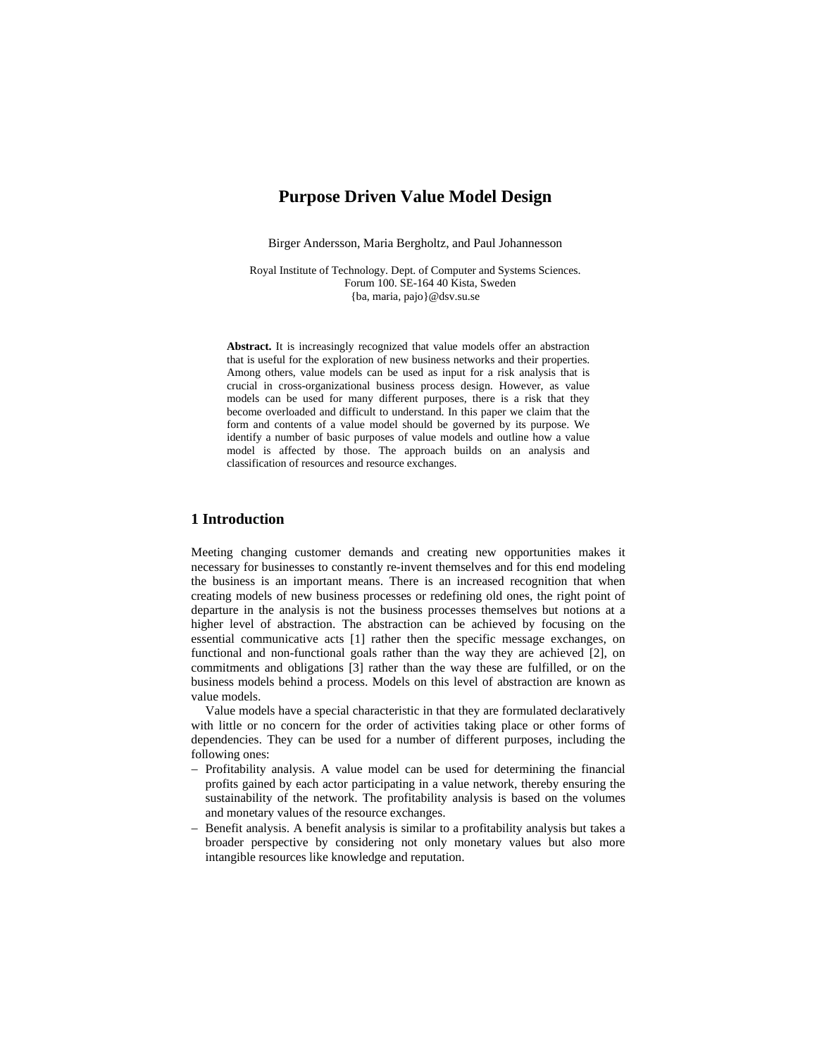# **Purpose Driven Value Model Design**

Birger Andersson, Maria Bergholtz, and Paul Johannesson

Royal Institute of Technology. Dept. of Computer and Systems Sciences. Forum 100. SE-164 40 Kista, Sweden {ba, maria, pajo}@dsv.su.se

**Abstract.** It is increasingly recognized that value models offer an abstraction that is useful for the exploration of new business networks and their properties. Among others, value models can be used as input for a risk analysis that is crucial in cross-organizational business process design. However, as value models can be used for many different purposes, there is a risk that they become overloaded and difficult to understand. In this paper we claim that the form and contents of a value model should be governed by its purpose. We identify a number of basic purposes of value models and outline how a value model is affected by those. The approach builds on an analysis and classification of resources and resource exchanges.

## **1 Introduction**

Meeting changing customer demands and creating new opportunities makes it necessary for businesses to constantly re-invent themselves and for this end modeling the business is an important means. There is an increased recognition that when creating models of new business processes or redefining old ones, the right point of departure in the analysis is not the business processes themselves but notions at a higher level of abstraction. The abstraction can be achieved by focusing on the essential communicative acts [1] rather then the specific message exchanges, on functional and non-functional goals rather than the way they are achieved [2], on commitments and obligations [3] rather than the way these are fulfilled, or on the business models behind a process. Models on this level of abstraction are known as value models.

Value models have a special characteristic in that they are formulated declaratively with little or no concern for the order of activities taking place or other forms of dependencies. They can be used for a number of different purposes, including the following ones:

- Profitability analysis. A value model can be used for determining the financial profits gained by each actor participating in a value network, thereby ensuring the sustainability of the network. The profitability analysis is based on the volumes and monetary values of the resource exchanges.
- Benefit analysis. A benefit analysis is similar to a profitability analysis but takes a broader perspective by considering not only monetary values but also more intangible resources like knowledge and reputation.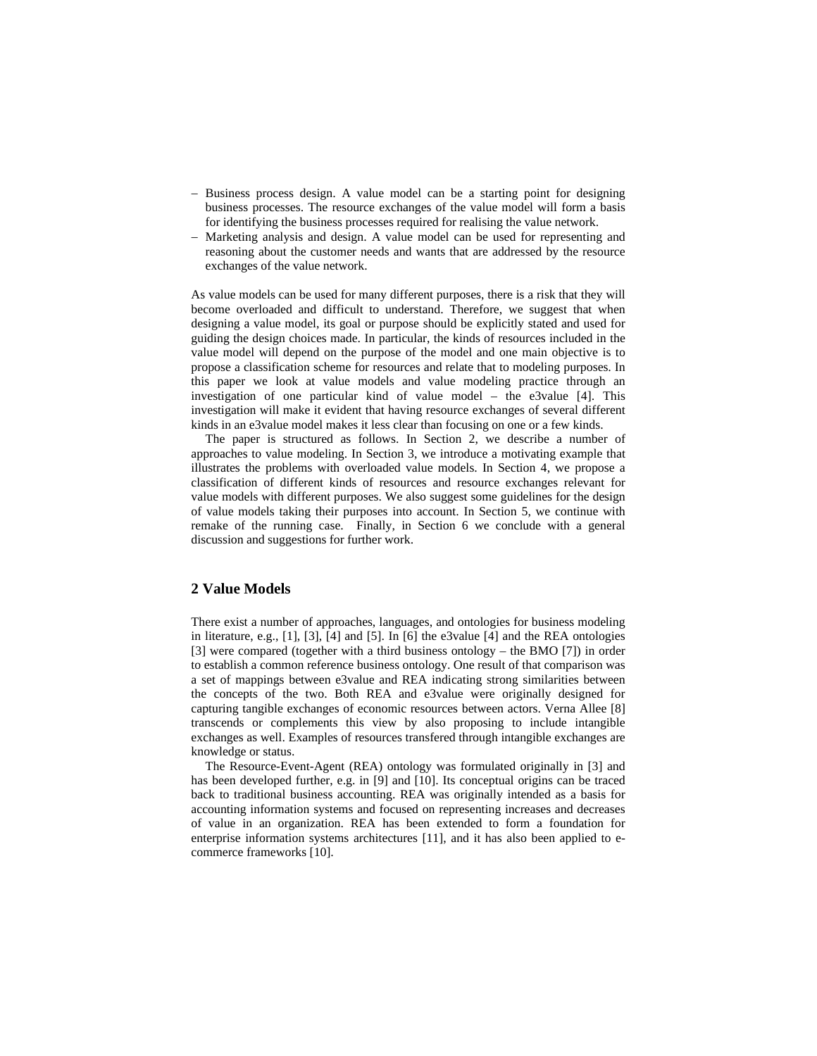- $-$  Business process design. A value model can be a starting point for designing business processes. The resource exchanges of the value model will form a basis for identifying the business processes required for realising the value network.
- Marketing analysis and design. A value model can be used for representing and reasoning about the customer needs and wants that are addressed by the resource exchanges of the value network.

As value models can be used for many different purposes, there is a risk that they will become overloaded and difficult to understand. Therefore, we suggest that when designing a value model, its goal or purpose should be explicitly stated and used for guiding the design choices made. In particular, the kinds of resources included in the value model will depend on the purpose of the model and one main objective is to propose a classification scheme for resources and relate that to modeling purposes. In this paper we look at value models and value modeling practice through an investigation of one particular kind of value model – the e3value [4]. This investigation will make it evident that having resource exchanges of several different kinds in an e3value model makes it less clear than focusing on one or a few kinds.

The paper is structured as follows. In Section 2, we describe a number of approaches to value modeling. In Section 3, we introduce a motivating example that illustrates the problems with overloaded value models. In Section 4, we propose a classification of different kinds of resources and resource exchanges relevant for value models with different purposes. We also suggest some guidelines for the design of value models taking their purposes into account. In Section 5, we continue with remake of the running case. Finally, in Section 6 we conclude with a general discussion and suggestions for further work.

## **2 Value Models**

There exist a number of approaches, languages, and ontologies for business modeling in literature, e.g.,  $[1]$ ,  $[3]$ ,  $[4]$  and  $[5]$ . In  $[6]$  the e3value  $[4]$  and the REA ontologies [3] were compared (together with a third business ontology – the BMO [7]) in order to establish a common reference business ontology. One result of that comparison was a set of mappings between e3value and REA indicating strong similarities between the concepts of the two. Both REA and e3value were originally designed for capturing tangible exchanges of economic resources between actors. Verna Allee [8] transcends or complements this view by also proposing to include intangible exchanges as well. Examples of resources transfered through intangible exchanges are knowledge or status.

The Resource-Event-Agent (REA) ontology was formulated originally in [3] and has been developed further, e.g. in [9] and [10]. Its conceptual origins can be traced back to traditional business accounting. REA was originally intended as a basis for accounting information systems and focused on representing increases and decreases of value in an organization. REA has been extended to form a foundation for enterprise information systems architectures [11], and it has also been applied to ecommerce frameworks [10].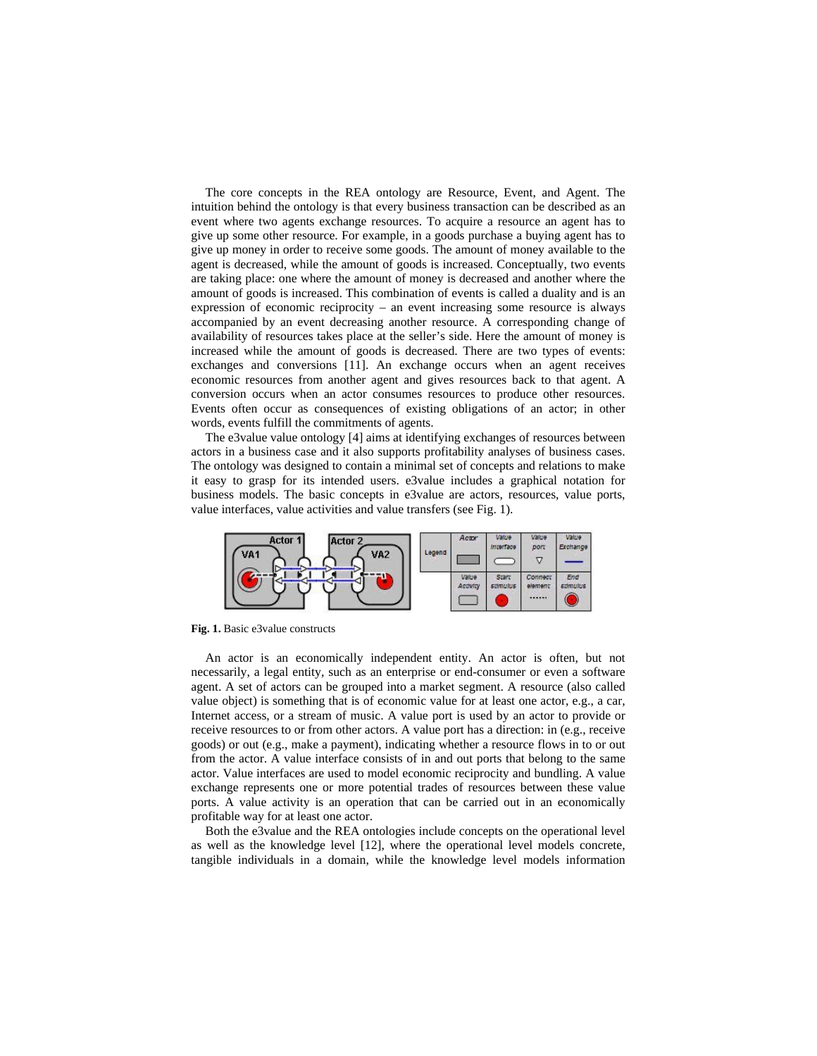The core concepts in the REA ontology are Resource, Event, and Agent. The intuition behind the ontology is that every business transaction can be described as an event where two agents exchange resources. To acquire a resource an agent has to give up some other resource. For example, in a goods purchase a buying agent has to give up money in order to receive some goods. The amount of money available to the agent is decreased, while the amount of goods is increased. Conceptually, two events are taking place: one where the amount of money is decreased and another where the amount of goods is increased. This combination of events is called a duality and is an expression of economic reciprocity – an event increasing some resource is always accompanied by an event decreasing another resource. A corresponding change of availability of resources takes place at the seller's side. Here the amount of money is increased while the amount of goods is decreased. There are two types of events: exchanges and conversions [11]. An exchange occurs when an agent receives economic resources from another agent and gives resources back to that agent. A conversion occurs when an actor consumes resources to produce other resources. Events often occur as consequences of existing obligations of an actor; in other words, events fulfill the commitments of agents.

The e3value value ontology [4] aims at identifying exchanges of resources between actors in a business case and it also supports profitability analyses of business cases. The ontology was designed to contain a minimal set of concepts and relations to make it easy to grasp for its intended users. e3value includes a graphical notation for business models. The basic concepts in e3value are actors, resources, value ports, value interfaces, value activities and value transfers (see Fig. 1).



Fig. 1. Basic e3value constructs

An actor is an economically independent entity. An actor is often, but not necessarily, a legal entity, such as an enterprise or end-consumer or even a software agent. A set of actors can be grouped into a market segment. A resource (also called value object) is something that is of economic value for at least one actor, e.g., a car, Internet access, or a stream of music. A value port is used by an actor to provide or receive resources to or from other actors. A value port has a direction: in (e.g., receive goods) or out (e.g., make a payment), indicating whether a resource flows in to or out from the actor. A value interface consists of in and out ports that belong to the same actor. Value interfaces are used to model economic reciprocity and bundling. A value exchange represents one or more potential trades of resources between these value ports. A value activity is an operation that can be carried out in an economically profitable way for at least one actor.

Both the e3value and the REA ontologies include concepts on the operational level as well as the knowledge level [12], where the operational level models concrete, tangible individuals in a domain, while the knowledge level models information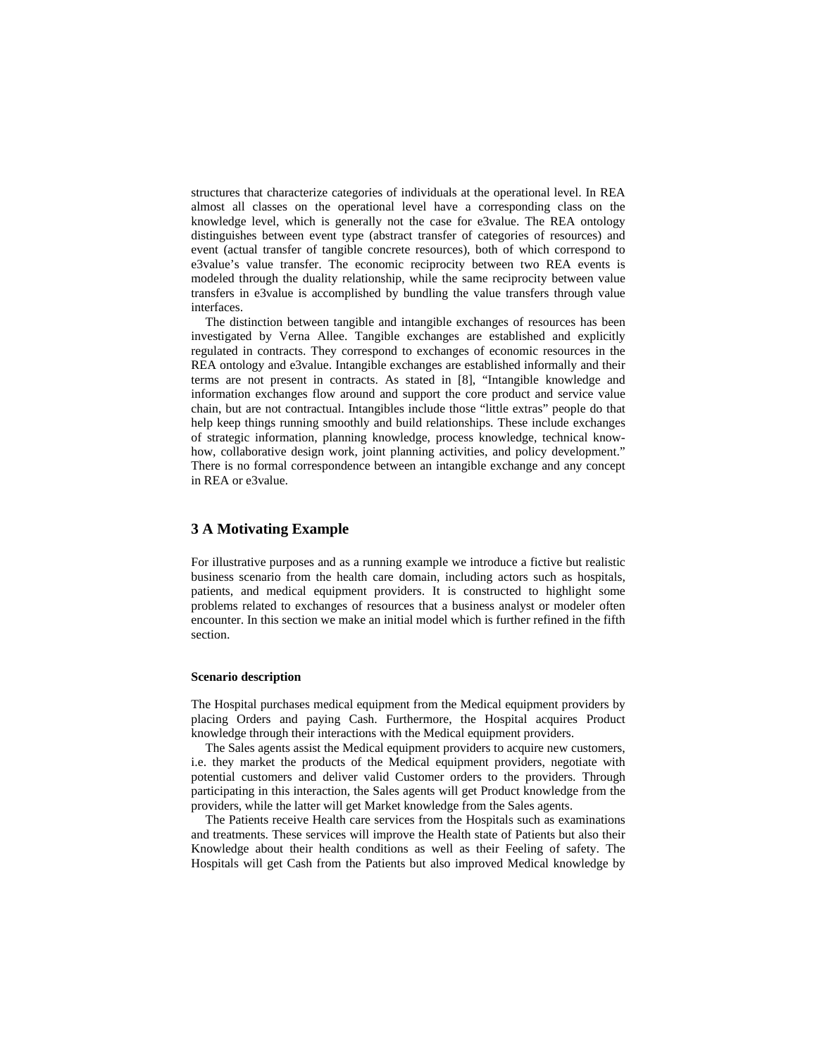structures that characterize categories of individuals at the operational level. In REA almost all classes on the operational level have a corresponding class on the knowledge level, which is generally not the case for e3value. The REA ontology distinguishes between event type (abstract transfer of categories of resources) and event (actual transfer of tangible concrete resources), both of which correspond to e3value's value transfer. The economic reciprocity between two REA events is modeled through the duality relationship, while the same reciprocity between value transfers in e3value is accomplished by bundling the value transfers through value interfaces.

The distinction between tangible and intangible exchanges of resources has been investigated by Verna Allee. Tangible exchanges are established and explicitly regulated in contracts. They correspond to exchanges of economic resources in the REA ontology and e3value. Intangible exchanges are established informally and their terms are not present in contracts. As stated in [8], "Intangible knowledge and information exchanges flow around and support the core product and service value chain, but are not contractual. Intangibles include those "little extras" people do that help keep things running smoothly and build relationships. These include exchanges of strategic information, planning knowledge, process knowledge, technical knowhow, collaborative design work, joint planning activities, and policy development." There is no formal correspondence between an intangible exchange and any concept in REA or e3value.

# **3 A Motivating Example**

For illustrative purposes and as a running example we introduce a fictive but realistic business scenario from the health care domain, including actors such as hospitals, patients, and medical equipment providers. It is constructed to highlight some problems related to exchanges of resources that a business analyst or modeler often encounter. In this section we make an initial model which is further refined in the fifth section.

#### **Scenario description**

The Hospital purchases medical equipment from the Medical equipment providers by placing Orders and paying Cash. Furthermore, the Hospital acquires Product knowledge through their interactions with the Medical equipment providers.

The Sales agents assist the Medical equipment providers to acquire new customers, i.e. they market the products of the Medical equipment providers, negotiate with potential customers and deliver valid Customer orders to the providers. Through participating in this interaction, the Sales agents will get Product knowledge from the providers, while the latter will get Market knowledge from the Sales agents.

The Patients receive Health care services from the Hospitals such as examinations and treatments. These services will improve the Health state of Patients but also their Knowledge about their health conditions as well as their Feeling of safety. The Hospitals will get Cash from the Patients but also improved Medical knowledge by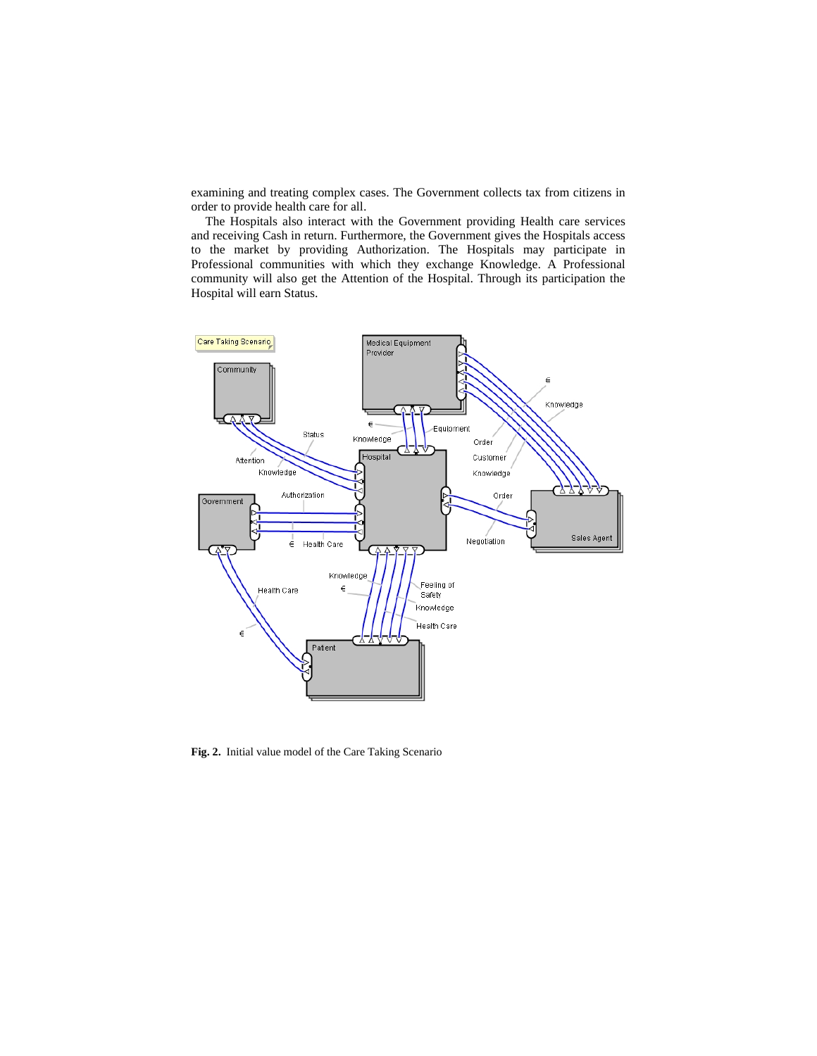examining and treating complex cases. The Government collects tax from citizens in order to provide health care for all.

The Hospitals also interact with the Government providing Health care services and receiving Cash in return. Furthermore, the Government gives the Hospitals access to the market by providing Authorization. The Hospitals may participate in Professional communities with which they exchange Knowledge. A Professional community will also get the Attention of the Hospital. Through its participation the Hospital will earn Status.



**Fig. 2.** Initial value model of the Care Taking Scenario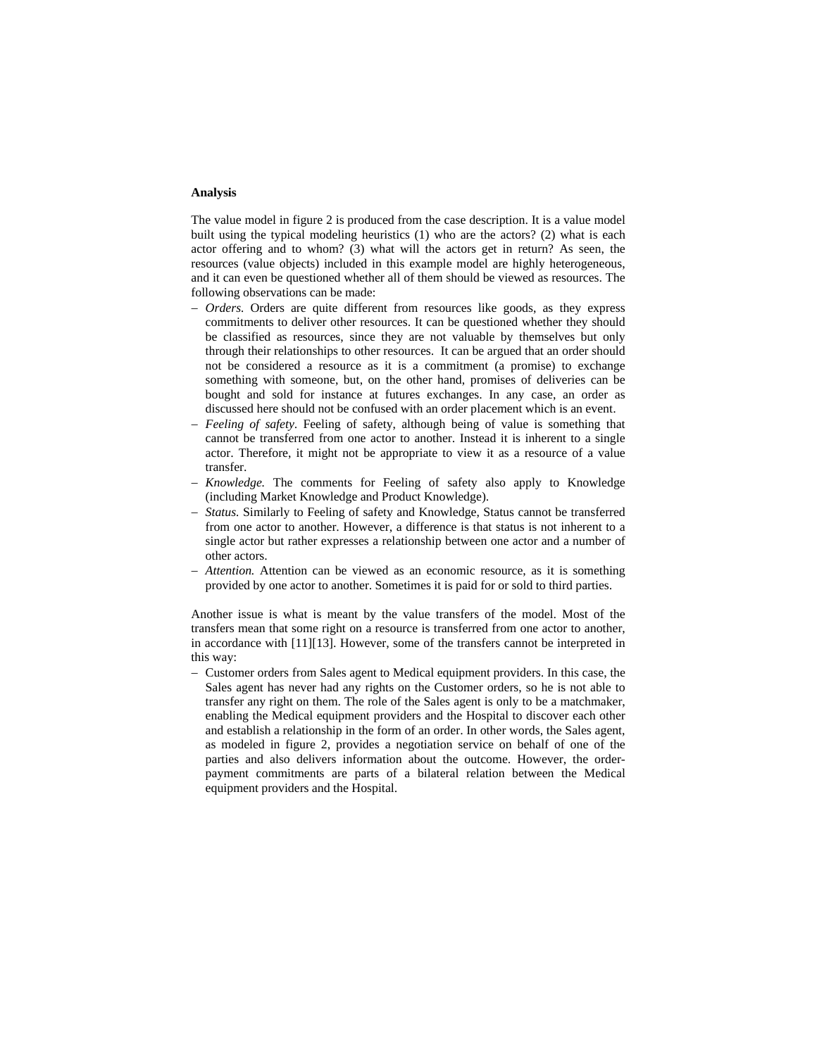### **Analysis**

The value model in figure 2 is produced from the case description. It is a value model built using the typical modeling heuristics (1) who are the actors? (2) what is each actor offering and to whom? (3) what will the actors get in return? As seen, the resources (value objects) included in this example model are highly heterogeneous, and it can even be questioned whether all of them should be viewed as resources. The following observations can be made:

- *Orders.* Orders are quite different from resources like goods, as they express commitments to deliver other resources. It can be questioned whether they should be classified as resources, since they are not valuable by themselves but only through their relationships to other resources. It can be argued that an order should not be considered a resource as it is a commitment (a promise) to exchange something with someone, but, on the other hand, promises of deliveries can be bought and sold for instance at futures exchanges. In any case, an order as discussed here should not be confused with an order placement which is an event.
- *Feeling of safety*. Feeling of safety, although being of value is something that cannot be transferred from one actor to another. Instead it is inherent to a single actor. Therefore, it might not be appropriate to view it as a resource of a value transfer.
- *Knowledge.* The comments for Feeling of safety also apply to Knowledge (including Market Knowledge and Product Knowledge).
- *Status.* Similarly to Feeling of safety and Knowledge, Status cannot be transferred from one actor to another. However, a difference is that status is not inherent to a single actor but rather expresses a relationship between one actor and a number of other actors.
- *Attention.* Attention can be viewed as an economic resource, as it is something provided by one actor to another. Sometimes it is paid for or sold to third parties.

Another issue is what is meant by the value transfers of the model. Most of the transfers mean that some right on a resource is transferred from one actor to another, in accordance with [11][13]. However, some of the transfers cannot be interpreted in this way:

 Customer orders from Sales agent to Medical equipment providers. In this case, the Sales agent has never had any rights on the Customer orders, so he is not able to transfer any right on them. The role of the Sales agent is only to be a matchmaker, enabling the Medical equipment providers and the Hospital to discover each other and establish a relationship in the form of an order. In other words, the Sales agent, as modeled in figure 2, provides a negotiation service on behalf of one of the parties and also delivers information about the outcome. However, the orderpayment commitments are parts of a bilateral relation between the Medical equipment providers and the Hospital.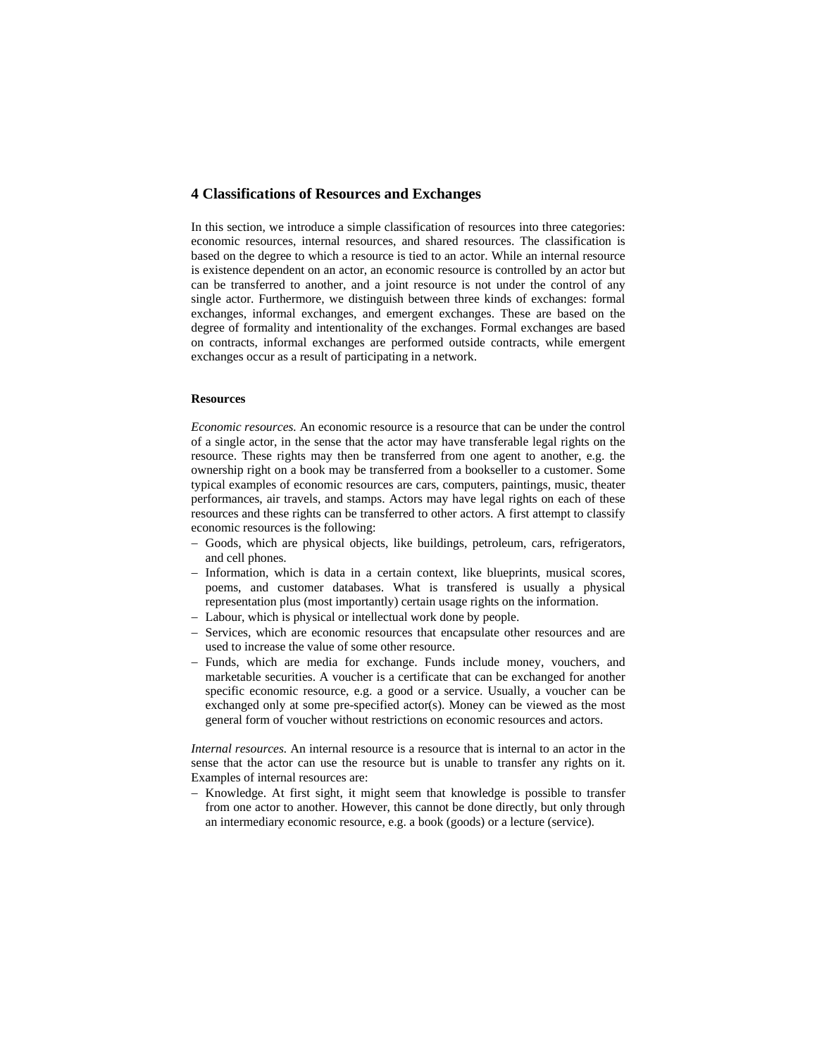# **4 Classifications of Resources and Exchanges**

In this section, we introduce a simple classification of resources into three categories: economic resources, internal resources, and shared resources. The classification is based on the degree to which a resource is tied to an actor. While an internal resource is existence dependent on an actor, an economic resource is controlled by an actor but can be transferred to another, and a joint resource is not under the control of any single actor. Furthermore, we distinguish between three kinds of exchanges: formal exchanges, informal exchanges, and emergent exchanges. These are based on the degree of formality and intentionality of the exchanges. Formal exchanges are based on contracts, informal exchanges are performed outside contracts, while emergent exchanges occur as a result of participating in a network.

#### **Resources**

*Economic resources.* An economic resource is a resource that can be under the control of a single actor, in the sense that the actor may have transferable legal rights on the resource. These rights may then be transferred from one agent to another, e.g. the ownership right on a book may be transferred from a bookseller to a customer. Some typical examples of economic resources are cars, computers, paintings, music, theater performances, air travels, and stamps. Actors may have legal rights on each of these resources and these rights can be transferred to other actors. A first attempt to classify economic resources is the following:

- Goods, which are physical objects, like buildings, petroleum, cars, refrigerators, and cell phones.
- Information, which is data in a certain context, like blueprints, musical scores, poems, and customer databases. What is transfered is usually a physical representation plus (most importantly) certain usage rights on the information.
- Labour, which is physical or intellectual work done by people.
- Services, which are economic resources that encapsulate other resources and are used to increase the value of some other resource.
- Funds, which are media for exchange. Funds include money, vouchers, and marketable securities. A voucher is a certificate that can be exchanged for another specific economic resource, e.g. a good or a service. Usually, a voucher can be exchanged only at some pre-specified actor(s). Money can be viewed as the most general form of voucher without restrictions on economic resources and actors.

*Internal resources.* An internal resource is a resource that is internal to an actor in the sense that the actor can use the resource but is unable to transfer any rights on it. Examples of internal resources are:

- Knowledge. At first sight, it might seem that knowledge is possible to transfer from one actor to another. However, this cannot be done directly, but only through an intermediary economic resource, e.g. a book (goods) or a lecture (service).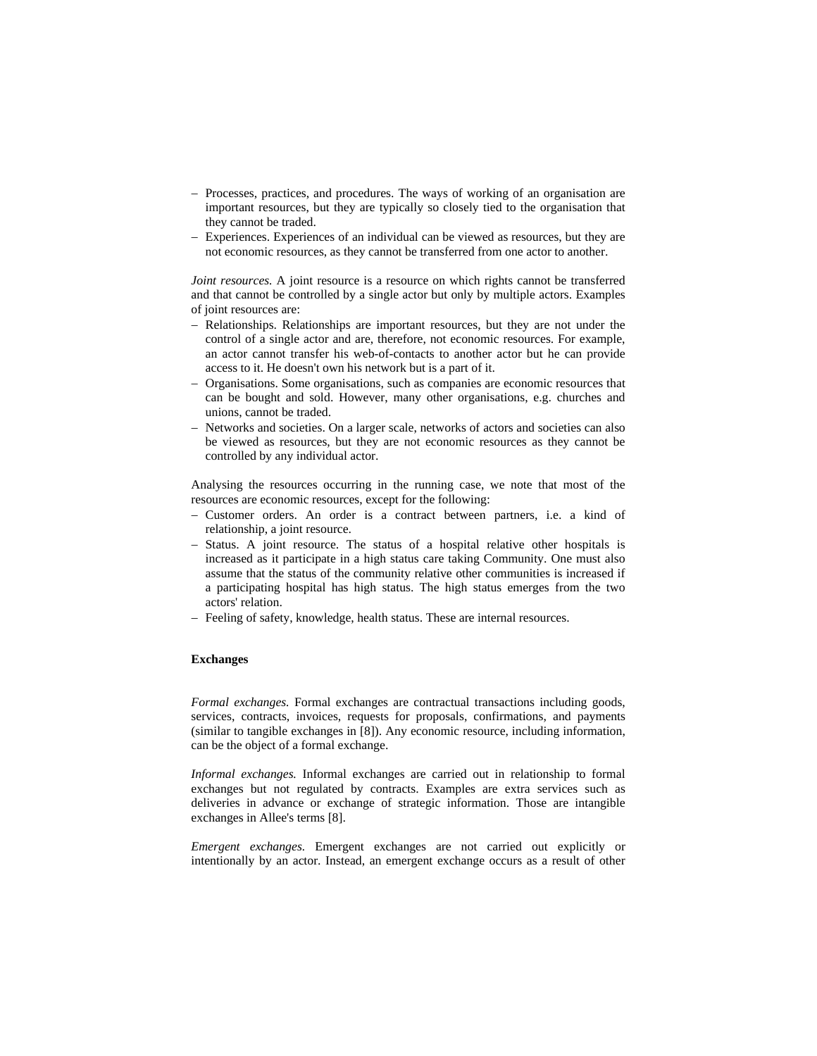- Processes, practices, and procedures. The ways of working of an organisation are important resources, but they are typically so closely tied to the organisation that they cannot be traded.
- Experiences. Experiences of an individual can be viewed as resources, but they are not economic resources, as they cannot be transferred from one actor to another.

*Joint resources*. A joint resource is a resource on which rights cannot be transferred and that cannot be controlled by a single actor but only by multiple actors. Examples of joint resources are:

- Relationships. Relationships are important resources, but they are not under the control of a single actor and are, therefore, not economic resources. For example, an actor cannot transfer his web-of-contacts to another actor but he can provide access to it. He doesn't own his network but is a part of it.
- Organisations. Some organisations, such as companies are economic resources that can be bought and sold. However, many other organisations, e.g. churches and unions, cannot be traded.
- Networks and societies. On a larger scale, networks of actors and societies can also be viewed as resources, but they are not economic resources as they cannot be controlled by any individual actor.

Analysing the resources occurring in the running case, we note that most of the resources are economic resources, except for the following:

- Customer orders. An order is a contract between partners, i.e. a kind of relationship, a joint resource.
- Status. A joint resource. The status of a hospital relative other hospitals is increased as it participate in a high status care taking Community. One must also assume that the status of the community relative other communities is increased if a participating hospital has high status. The high status emerges from the two actors' relation.
- Feeling of safety, knowledge, health status. These are internal resources.

#### **Exchanges**

*Formal exchanges.* Formal exchanges are contractual transactions including goods, services, contracts, invoices, requests for proposals, confirmations, and payments (similar to tangible exchanges in [8]). Any economic resource, including information, can be the object of a formal exchange.

*Informal exchanges.* Informal exchanges are carried out in relationship to formal exchanges but not regulated by contracts. Examples are extra services such as deliveries in advance or exchange of strategic information. Those are intangible exchanges in Allee's terms [8].

*Emergent exchanges.* Emergent exchanges are not carried out explicitly or intentionally by an actor. Instead, an emergent exchange occurs as a result of other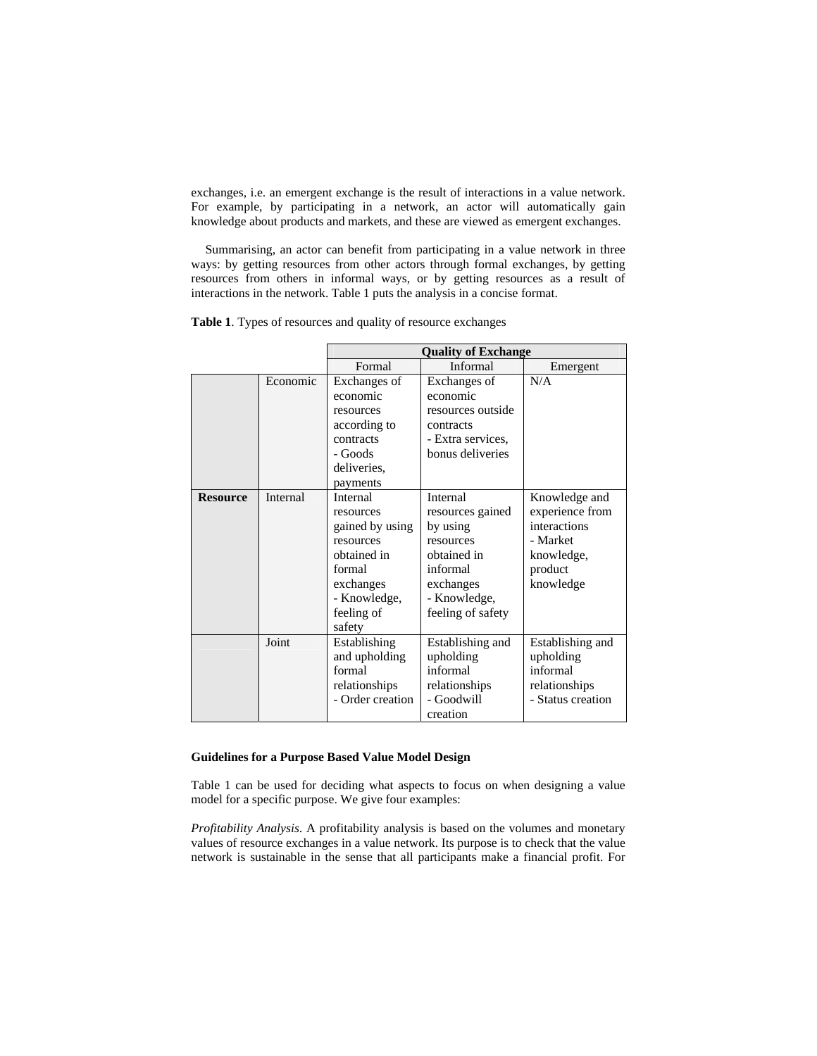exchanges, i.e. an emergent exchange is the result of interactions in a value network. For example, by participating in a network, an actor will automatically gain knowledge about products and markets, and these are viewed as emergent exchanges.

Summarising, an actor can benefit from participating in a value network in three ways: by getting resources from other actors through formal exchanges, by getting resources from others in informal ways, or by getting resources as a result of interactions in the network. Table 1 puts the analysis in a concise format.

**Table 1**. Types of resources and quality of resource exchanges

|                 |          | <b>Quality of Exchange</b> |                   |                   |
|-----------------|----------|----------------------------|-------------------|-------------------|
|                 |          | Formal                     | Informal          | Emergent          |
|                 | Economic | Exchanges of               | Exchanges of      | N/A               |
|                 |          | economic                   | economic          |                   |
|                 |          | resources                  | resources outside |                   |
|                 |          | according to               | contracts         |                   |
|                 |          | contracts                  | - Extra services, |                   |
|                 |          | - Goods                    | bonus deliveries  |                   |
|                 |          | deliveries,                |                   |                   |
|                 |          | payments                   |                   |                   |
| <b>Resource</b> | Internal | Internal                   | Internal          | Knowledge and     |
|                 |          | resources                  | resources gained  | experience from   |
|                 |          | gained by using            | by using          | interactions      |
|                 |          | resources                  | resources         | - Market          |
|                 |          | obtained in                | obtained in       | knowledge,        |
|                 |          | formal                     | informal          | product           |
|                 |          | exchanges                  | exchanges         | knowledge         |
|                 |          | - Knowledge,               | - Knowledge,      |                   |
|                 |          | feeling of                 | feeling of safety |                   |
|                 |          | safety                     |                   |                   |
|                 | Joint    | Establishing               | Establishing and  | Establishing and  |
|                 |          | and upholding              | upholding         | upholding         |
|                 |          | formal                     | informal          | informal          |
|                 |          | relationships              | relationships     | relationships     |
|                 |          | - Order creation           | - Goodwill        | - Status creation |
|                 |          |                            | creation          |                   |

#### **Guidelines for a Purpose Based Value Model Design**

Table 1 can be used for deciding what aspects to focus on when designing a value model for a specific purpose. We give four examples:

*Profitability Analysis*. A profitability analysis is based on the volumes and monetary values of resource exchanges in a value network. Its purpose is to check that the value network is sustainable in the sense that all participants make a financial profit. For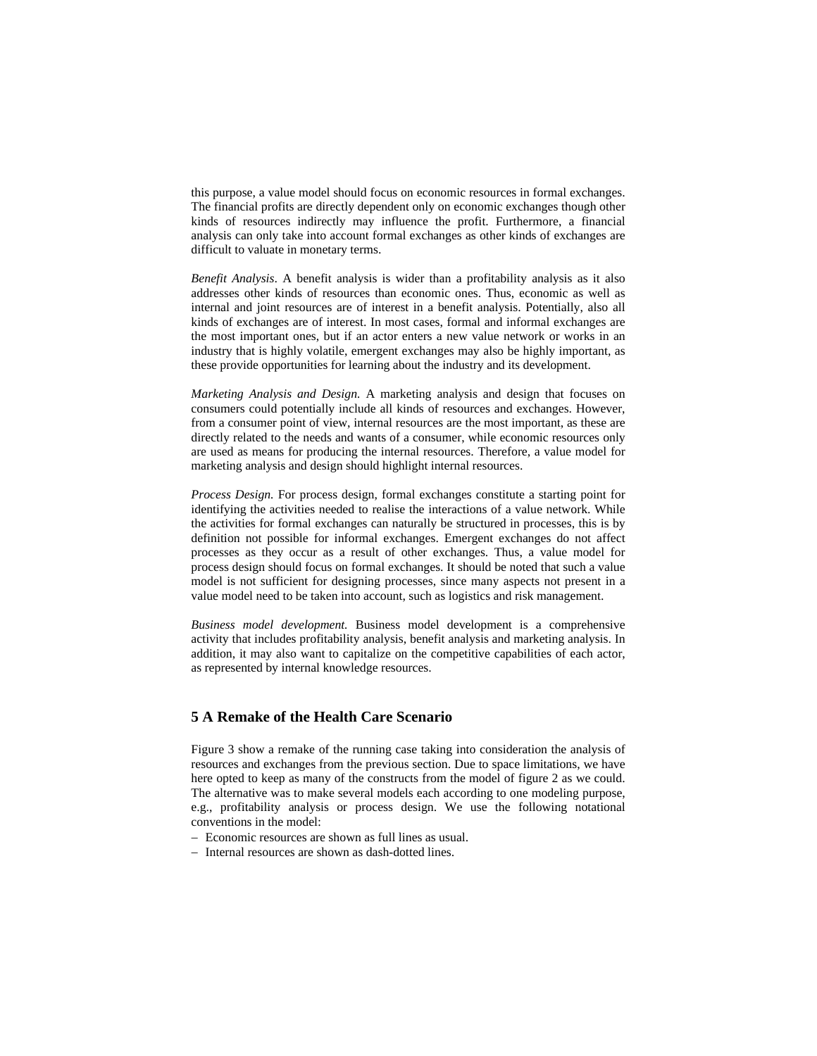this purpose, a value model should focus on economic resources in formal exchanges. The financial profits are directly dependent only on economic exchanges though other kinds of resources indirectly may influence the profit. Furthermore, a financial analysis can only take into account formal exchanges as other kinds of exchanges are difficult to valuate in monetary terms.

*Benefit Analysis*. A benefit analysis is wider than a profitability analysis as it also addresses other kinds of resources than economic ones. Thus, economic as well as internal and joint resources are of interest in a benefit analysis. Potentially, also all kinds of exchanges are of interest. In most cases, formal and informal exchanges are the most important ones, but if an actor enters a new value network or works in an industry that is highly volatile, emergent exchanges may also be highly important, as these provide opportunities for learning about the industry and its development.

*Marketing Analysis and Design.* A marketing analysis and design that focuses on consumers could potentially include all kinds of resources and exchanges. However, from a consumer point of view, internal resources are the most important, as these are directly related to the needs and wants of a consumer, while economic resources only are used as means for producing the internal resources. Therefore, a value model for marketing analysis and design should highlight internal resources.

*Process Design.* For process design, formal exchanges constitute a starting point for identifying the activities needed to realise the interactions of a value network. While the activities for formal exchanges can naturally be structured in processes, this is by definition not possible for informal exchanges. Emergent exchanges do not affect processes as they occur as a result of other exchanges. Thus, a value model for process design should focus on formal exchanges. It should be noted that such a value model is not sufficient for designing processes, since many aspects not present in a value model need to be taken into account, such as logistics and risk management.

*Business model development.* Business model development is a comprehensive activity that includes profitability analysis, benefit analysis and marketing analysis. In addition, it may also want to capitalize on the competitive capabilities of each actor, as represented by internal knowledge resources.

### **5 A Remake of the Health Care Scenario**

Figure 3 show a remake of the running case taking into consideration the analysis of resources and exchanges from the previous section. Due to space limitations, we have here opted to keep as many of the constructs from the model of figure 2 as we could. The alternative was to make several models each according to one modeling purpose, e.g., profitability analysis or process design. We use the following notational conventions in the model:

- Economic resources are shown as full lines as usual.
- Internal resources are shown as dash-dotted lines.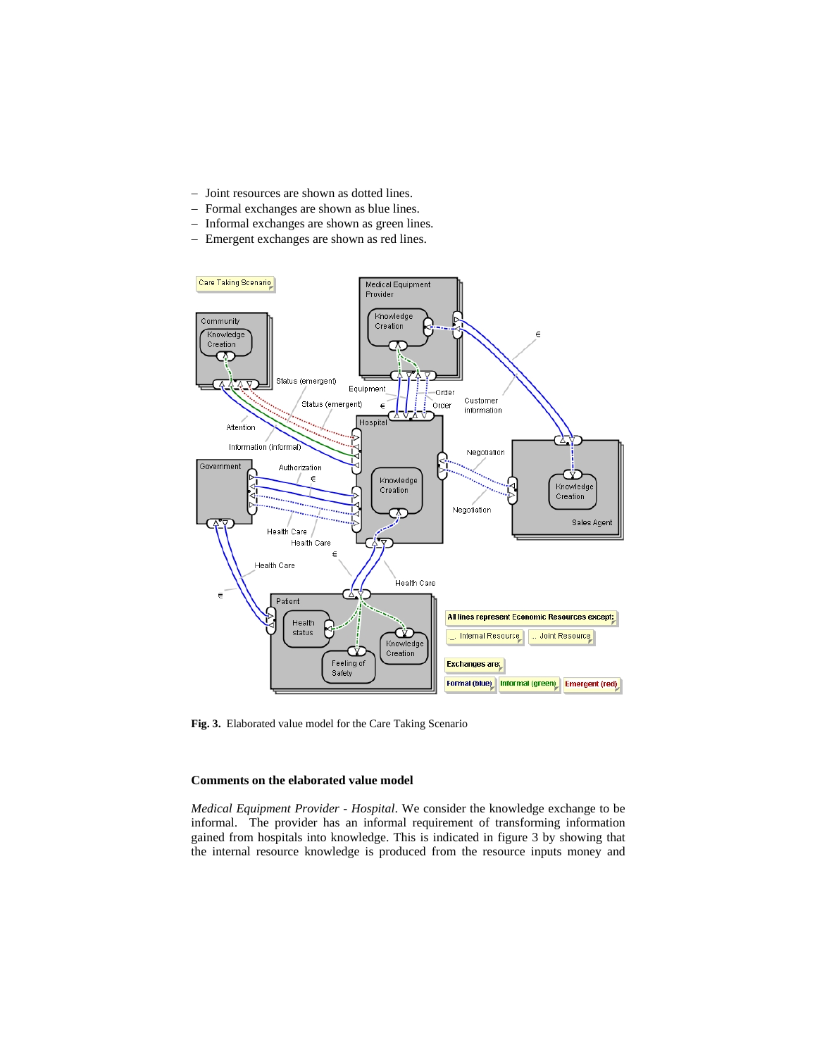- Joint resources are shown as dotted lines.
- Formal exchanges are shown as blue lines.
- Informal exchanges are shown as green lines.
- Emergent exchanges are shown as red lines.



**Fig. 3.** Elaborated value model for the Care Taking Scenario

### **Comments on the elaborated value model**

*Medical Equipment Provider - Hospital*. We consider the knowledge exchange to be informal. The provider has an informal requirement of transforming information gained from hospitals into knowledge. This is indicated in figure 3 by showing that the internal resource knowledge is produced from the resource inputs money and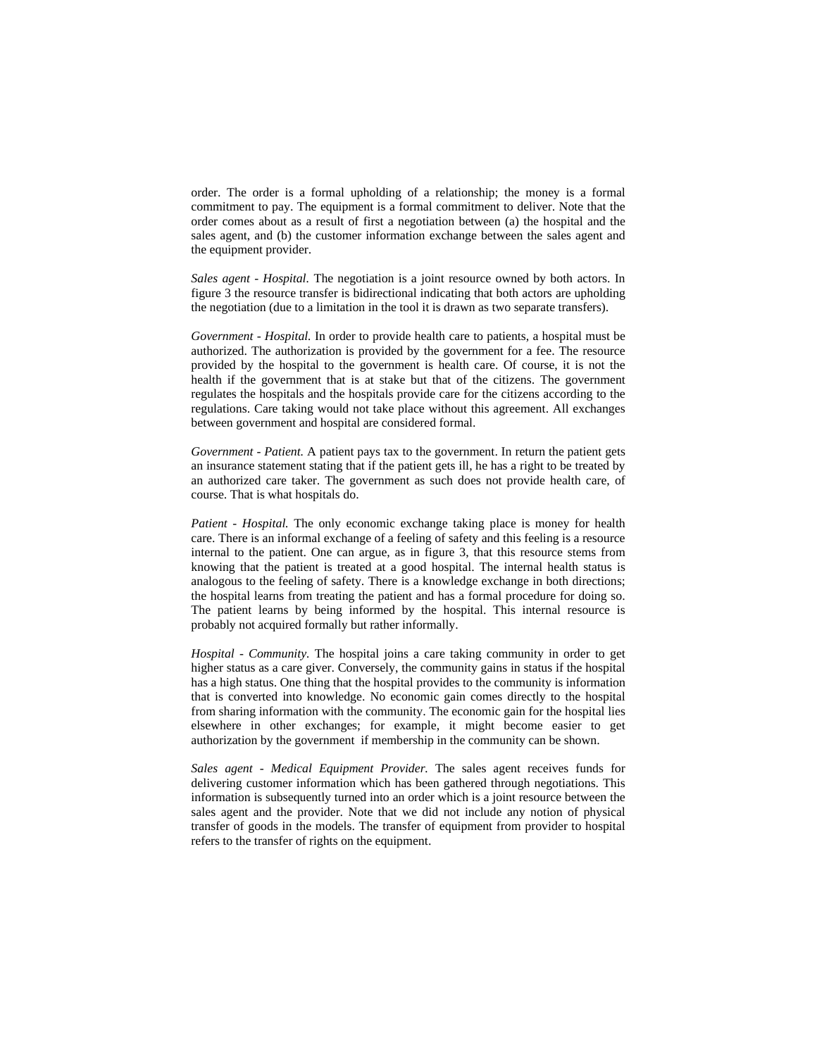order. The order is a formal upholding of a relationship; the money is a formal commitment to pay. The equipment is a formal commitment to deliver. Note that the order comes about as a result of first a negotiation between (a) the hospital and the sales agent, and (b) the customer information exchange between the sales agent and the equipment provider.

*Sales agent - Hospital.* The negotiation is a joint resource owned by both actors. In figure 3 the resource transfer is bidirectional indicating that both actors are upholding the negotiation (due to a limitation in the tool it is drawn as two separate transfers).

*Government - Hospital.* In order to provide health care to patients, a hospital must be authorized. The authorization is provided by the government for a fee. The resource provided by the hospital to the government is health care. Of course, it is not the health if the government that is at stake but that of the citizens. The government regulates the hospitals and the hospitals provide care for the citizens according to the regulations. Care taking would not take place without this agreement. All exchanges between government and hospital are considered formal.

*Government - Patient.* A patient pays tax to the government. In return the patient gets an insurance statement stating that if the patient gets ill, he has a right to be treated by an authorized care taker. The government as such does not provide health care, of course. That is what hospitals do.

*Patient - Hospital.* The only economic exchange taking place is money for health care. There is an informal exchange of a feeling of safety and this feeling is a resource internal to the patient. One can argue, as in figure 3, that this resource stems from knowing that the patient is treated at a good hospital. The internal health status is analogous to the feeling of safety. There is a knowledge exchange in both directions; the hospital learns from treating the patient and has a formal procedure for doing so. The patient learns by being informed by the hospital. This internal resource is probably not acquired formally but rather informally.

*Hospital - Community.* The hospital joins a care taking community in order to get higher status as a care giver. Conversely, the community gains in status if the hospital has a high status. One thing that the hospital provides to the community is information that is converted into knowledge. No economic gain comes directly to the hospital from sharing information with the community. The economic gain for the hospital lies elsewhere in other exchanges; for example, it might become easier to get authorization by the government if membership in the community can be shown.

*Sales agent - Medical Equipment Provider.* The sales agent receives funds for delivering customer information which has been gathered through negotiations. This information is subsequently turned into an order which is a joint resource between the sales agent and the provider. Note that we did not include any notion of physical transfer of goods in the models. The transfer of equipment from provider to hospital refers to the transfer of rights on the equipment.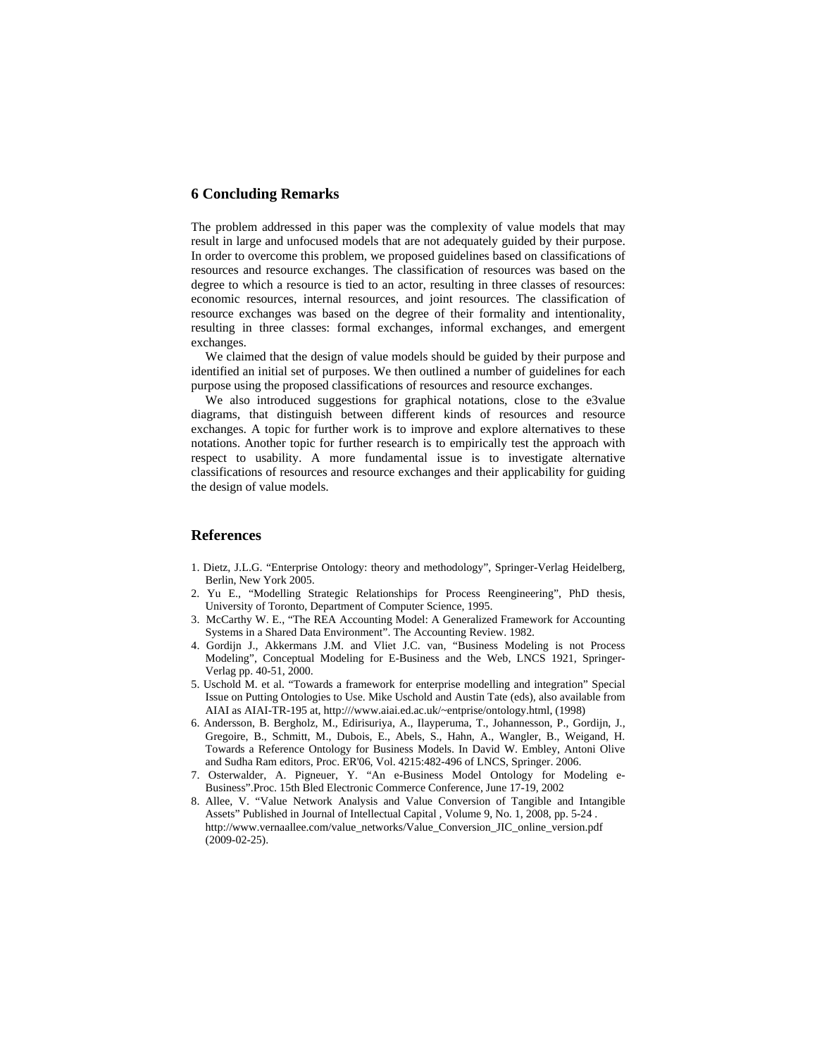# **6 Concluding Remarks**

The problem addressed in this paper was the complexity of value models that may result in large and unfocused models that are not adequately guided by their purpose. In order to overcome this problem, we proposed guidelines based on classifications of resources and resource exchanges. The classification of resources was based on the degree to which a resource is tied to an actor, resulting in three classes of resources: economic resources, internal resources, and joint resources. The classification of resource exchanges was based on the degree of their formality and intentionality, resulting in three classes: formal exchanges, informal exchanges, and emergent exchanges.

We claimed that the design of value models should be guided by their purpose and identified an initial set of purposes. We then outlined a number of guidelines for each purpose using the proposed classifications of resources and resource exchanges.

We also introduced suggestions for graphical notations, close to the e3value diagrams, that distinguish between different kinds of resources and resource exchanges. A topic for further work is to improve and explore alternatives to these notations. Another topic for further research is to empirically test the approach with respect to usability. A more fundamental issue is to investigate alternative classifications of resources and resource exchanges and their applicability for guiding the design of value models.

# **References**

- 1. Dietz, J.L.G. "Enterprise Ontology: theory and methodology", Springer-Verlag Heidelberg, Berlin, New York 2005.
- 2. Yu E., "Modelling Strategic Relationships for Process Reengineering", PhD thesis, University of Toronto, Department of Computer Science, 1995.
- 3. McCarthy W. E., "The REA Accounting Model: A Generalized Framework for Accounting Systems in a Shared Data Environment". The Accounting Review. 1982.
- 4. Gordijn J., Akkermans J.M. and Vliet J.C. van, "Business Modeling is not Process Modeling", Conceptual Modeling for E-Business and the Web, LNCS 1921, Springer-Verlag pp. 40-51, 2000.
- 5. Uschold M. et al. "Towards a framework for enterprise modelling and integration" Special Issue on Putting Ontologies to Use. Mike Uschold and Austin Tate (eds), also available from AIAI as AIAI-TR-195 at, http:///www.aiai.ed.ac.uk/~entprise/ontology.html, (1998)
- 6. Andersson, B. Bergholz, M., Edirisuriya, A., Ilayperuma, T., Johannesson, P., Gordijn, J., Gregoire, B., Schmitt, M., Dubois, E., Abels, S., Hahn, A., Wangler, B., Weigand, H. Towards a Reference Ontology for Business Models. In David W. Embley, Antoni Olive and Sudha Ram editors, Proc. ER'06, Vol. 4215:482-496 of LNCS, Springer. 2006.
- 7. Osterwalder, A. Pigneuer, Y. "An e-Business Model Ontology for Modeling e-Business".Proc. 15th Bled Electronic Commerce Conference, June 17-19, 2002
- 8. Allee, V. "Value Network Analysis and Value Conversion of Tangible and Intangible Assets" Published in Journal of Intellectual Capital , Volume 9, No. 1, 2008, pp. 5-24 . http://www.vernaallee.com/value\_networks/Value\_Conversion\_JIC\_online\_version.pdf (2009-02-25).